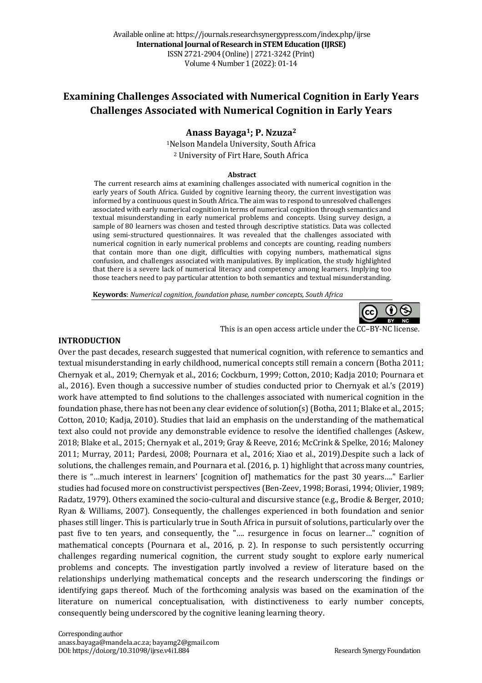# **Examining Challenges Associated with Numerical Cognition in Early Years Challenges Associated with Numerical Cognition in Early Years**

# **Anass Bayaga1; P. Nzuza2**

<sup>1</sup>Nelson Mandela University, South Africa <sup>2</sup> University of Firt Hare, South Africa

#### **Abstract**

The current research aims at examining challenges associated with numerical cognition in the early years of South Africa. Guided by cognitive learning theory, the current investigation was informed by a continuous quest in South Africa. The aim was to respond to unresolved challenges associated with early numerical cognition in terms of numerical cognition through semantics and textual misunderstanding in early numerical problems and concepts. Using survey design, a sample of 80 learners was chosen and tested through descriptive statistics. Data was collected using semi-structured questionnaires. It was revealed that the challenges associated with numerical cognition in early numerical problems and concepts are counting, reading numbers that contain more than one digit, difficulties with copying numbers, mathematical signs confusion, and challenges associated with manipulatives. By implication, the study highlighted that there is a severe lack of numerical literacy and competency among learners. Implying too those teachers need to pay particular attention to both semantics and textual misunderstanding.

**Keywords**: Numerical cognition, foundation phase, number concepts, South Africa



#### **INTRODUCTION**

Over the past decades, research suggested that numerical cognition, with reference to semantics and textual misunderstanding in early childhood, numerical concepts still remain a concern (Botha 2011; Chernyak et al., 2019; Chernyak et al., 2016; Cockburn, 1999; Cotton, 2010; Kadja 2010; Pournara et al., 2016). Even though a successive number of studies conducted prior to Chernyak et al.'s (2019) work have attempted to find solutions to the challenges associated with numerical cognition in the foundation phase, there has not been any clear evidence of solution(s) (Botha, 2011; Blake et al., 2015; Cotton, 2010; Kadja, 2010). Studies that laid an emphasis on the understanding of the mathematical text also could not provide any demonstrable evidence to resolve the identified challenges (Askew, 2018; Blake et al., 2015; Chernyak et al., 2019; Gray & Reeve, 2016; McCrink & Spelke, 2016; Maloney 2011; Murray, 2011; Pardesi, 2008; Pournara et al., 2016; Xiao et al., 2019).Despite such a lack of solutions, the challenges remain, and Pournara et al. (2016, p. 1) highlight that across many countries, there is "...much interest in learners' [cognition of] mathematics for the past 30 years...." Earlier studies had focused more on constructivist perspectives (Ben-Zeev, 1998; Borasi, 1994; Olivier, 1989; Radatz, 1979). Others examined the socio-cultural and discursive stance (e.g., Brodie & Berger, 2010; Ryan & Williams, 2007). Consequently, the challenges experienced in both foundation and senior phases still linger. This is particularly true in South Africa in pursuit of solutions, particularly over the past five to ten years, and consequently, the ".... resurgence in focus on learner..." cognition of mathematical concepts (Pournara et al., 2016, p. 2). In response to such persistently occurring challenges regarding numerical cognition, the current study sought to explore early numerical problems and concepts. The investigation partly involved a review of literature based on the relationships underlying mathematical concepts and the research underscoring the findings or identifying gaps thereof. Much of the forthcoming analysis was based on the examination of the literature on numerical conceptualisation, with distinctiveness to early number concepts, consequently being underscored by the cognitive leaning learning theory.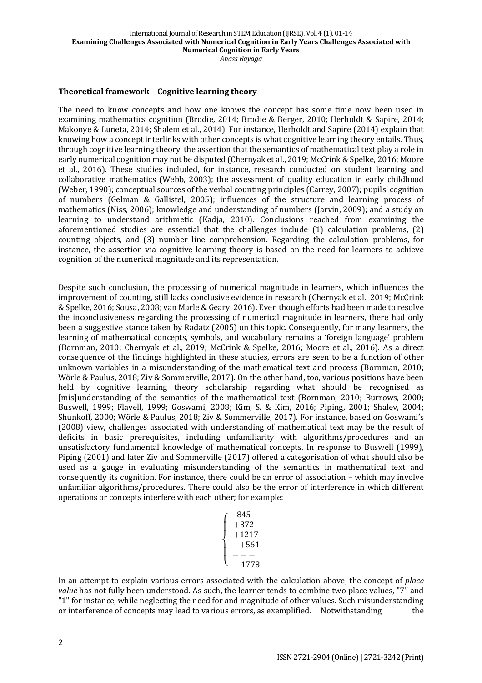#### **Theoretical framework - Cognitive learning theory**

The need to know concepts and how one knows the concept has some time now been used in examining mathematics cognition (Brodie, 2014; Brodie & Berger, 2010; Herholdt & Sapire, 2014; Makonye & Luneta, 2014; Shalem et al., 2014). For instance, Herholdt and Sapire (2014) explain that knowing how a concept interlinks with other concepts is what cognitive learning theory entails. Thus, through cognitive learning theory, the assertion that the semantics of mathematical text play a role in early numerical cognition may not be disputed (Chernyak et al., 2019; McCrink & Spelke, 2016; Moore et al., 2016). These studies included, for instance, research conducted on student learning and collaborative mathematics (Webb, 2003); the assessment of quality education in early childhood (Weber, 1990); conceptual sources of the verbal counting principles (Carrey, 2007); pupils' cognition of numbers (Gelman & Gallistel, 2005); influences of the structure and learning process of mathematics (Niss, 2006); knowledge and understanding of numbers (Jarvin, 2009); and a study on learning to understand arithmetic (Kadja, 2010). Conclusions reached from examining the aforementioned studies are essential that the challenges include  $(1)$  calculation problems,  $(2)$ counting objects, and (3) number line comprehension. Regarding the calculation problems, for instance, the assertion via cognitive learning theory is based on the need for learners to achieve cognition of the numerical magnitude and its representation.

Despite such conclusion, the processing of numerical magnitude in learners, which influences the improvement of counting, still lacks conclusive evidence in research (Chernyak et al., 2019; McCrink & Spelke, 2016; Sousa, 2008; van Marle & Geary, 2016). Even though efforts had been made to resolve the inconclusiveness regarding the processing of numerical magnitude in learners, there had only been a suggestive stance taken by Radatz (2005) on this topic. Consequently, for many learners, the learning of mathematical concepts, symbols, and vocabulary remains a 'foreign language' problem (Bornman, 2010; Chernyak et al., 2019; McCrink & Spelke, 2016; Moore et al., 2016). As a direct consequence of the findings highlighted in these studies, errors are seen to be a function of other unknown variables in a misunderstanding of the mathematical text and process (Bornman, 2010; Wörle & Paulus, 2018; Ziv & Sommerville, 2017). On the other hand, too, various positions have been held by cognitive learning theory scholarship regarding what should be recognised as [mis]understanding of the semantics of the mathematical text (Bornman, 2010; Burrows, 2000; Buswell, 1999; Flavell, 1999; Goswami, 2008; Kim, S. & Kim, 2016; Piping, 2001; Shalev, 2004; Shunkoff, 2000; Wörle & Paulus, 2018; Ziv & Sommerville, 2017). For instance, based on Goswami's (2008) view, challenges associated with understanding of mathematical text may be the result of deficits in basic prerequisites, including unfamiliarity with algorithms/procedures and an unsatisfactory fundamental knowledge of mathematical concepts. In response to Buswell (1999), Piping (2001) and later Ziv and Sommerville (2017) offered a categorisation of what should also be used as a gauge in evaluating misunderstanding of the semantics in mathematical text and consequently its cognition. For instance, there could be an error of association – which may involve unfamiliar algorithms/procedures. There could also be the error of interference in which different operations or concepts interfere with each other; for example:

| 845    |
|--------|
| $+372$ |
| +1217  |
| $+561$ |
|        |
| 1778   |

In an attempt to explain various errors associated with the calculation above, the concept of *place* value has not fully been understood. As such, the learner tends to combine two place values, "7" and "1" for instance, while neglecting the need for and magnitude of other values. Such misunderstanding or interference of concepts may lead to various errors, as exemplified. Notwithstanding the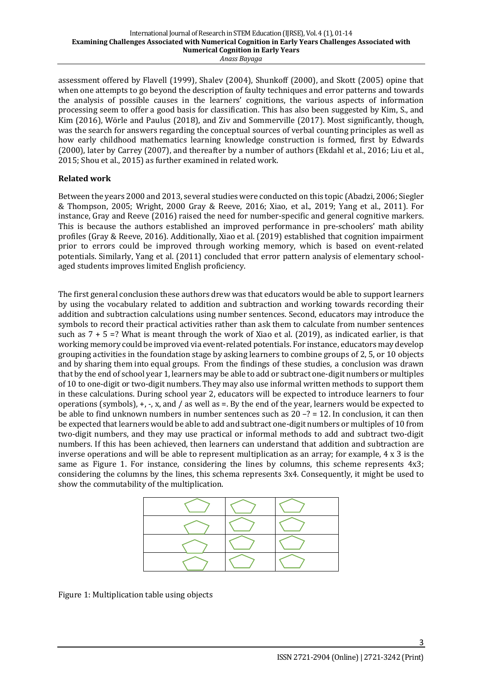assessment offered by Flavell (1999), Shalev (2004), Shunkoff (2000), and Skott (2005) opine that when one attempts to go beyond the description of faulty techniques and error patterns and towards the analysis of possible causes in the learners' cognitions, the various aspects of information processing seem to offer a good basis for classification. This has also been suggested by Kim, S., and Kim (2016), Wörle and Paulus (2018), and Ziv and Sommerville (2017). Most significantly, though, was the search for answers regarding the conceptual sources of verbal counting principles as well as how early childhood mathematics learning knowledge construction is formed, first by Edwards (2000), later by Carrey (2007), and thereafter by a number of authors (Ekdahl et al., 2016; Liu et al., 2015; Shou et al., 2015) as further examined in related work.

# **Related work**

Between the years 2000 and 2013, several studies were conducted on this topic (Abadzi, 2006; Siegler & Thompson, 2005; Wright, 2000 Gray & Reeve, 2016; Xiao, et al., 2019; Yang et al., 2011). For instance, Gray and Reeve (2016) raised the need for number-specific and general cognitive markers. This is because the authors established an improved performance in pre-schoolers' math ability profiles (Gray & Reeve, 2016). Additionally, Xiao et al. (2019) established that cognition impairment prior to errors could be improved through working memory, which is based on event-related potentials. Similarly, Yang et al. (2011) concluded that error pattern analysis of elementary schoolaged students improves limited English proficiency.

The first general conclusion these authors drew was that educators would be able to support learners by using the vocabulary related to addition and subtraction and working towards recording their addition and subtraction calculations using number sentences. Second, educators may introduce the symbols to record their practical activities rather than ask them to calculate from number sentences such as  $7 + 5 =$ ? What is meant through the work of Xiao et al. (2019), as indicated earlier, is that working memory could be improved via event-related potentials. For instance, educators may develop grouping activities in the foundation stage by asking learners to combine groups of  $2, 5$ , or 10 objects and by sharing them into equal groups. From the findings of these studies, a conclusion was drawn that by the end of school year 1, learners may be able to add or subtract one-digit numbers or multiples of 10 to one-digit or two-digit numbers. They may also use informal written methods to support them in these calculations. During school year 2, educators will be expected to introduce learners to four operations (symbols),  $+$ ,  $-$ , x, and / as well as  $=$ . By the end of the year, learners would be expected to be able to find unknown numbers in number sentences such as  $20 - ? = 12$ . In conclusion, it can then be expected that learners would be able to add and subtract one-digit numbers or multiples of 10 from two-digit numbers, and they may use practical or informal methods to add and subtract two-digit numbers. If this has been achieved, then learners can understand that addition and subtraction are inverse operations and will be able to represent multiplication as an array; for example,  $4 \times 3$  is the same as Figure 1. For instance, considering the lines by columns, this scheme represents  $4x3$ ; considering the columns by the lines, this schema represents 3x4. Consequently, it might be used to show the commutability of the multiplication.

Figure 1: Multiplication table using objects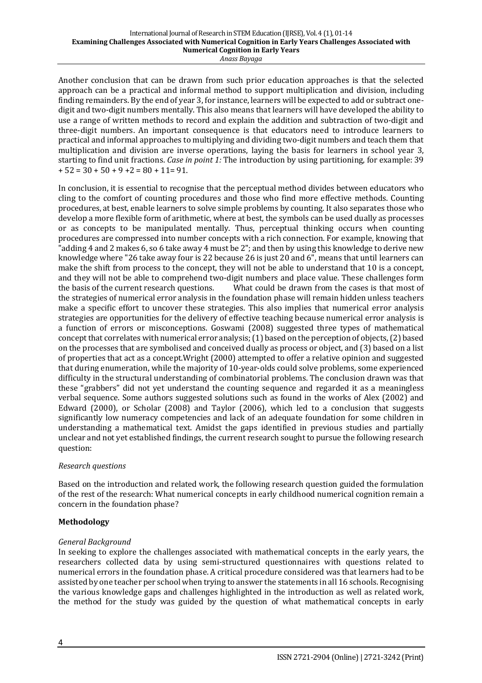Another conclusion that can be drawn from such prior education approaches is that the selected approach can be a practical and informal method to support multiplication and division, including finding remainders. By the end of year 3, for instance, learners will be expected to add or subtract onedigit and two-digit numbers mentally. This also means that learners will have developed the ability to use a range of written methods to record and explain the addition and subtraction of two-digit and three-digit numbers. An important consequence is that educators need to introduce learners to practical and informal approaches to multiplying and dividing two-digit numbers and teach them that multiplication and division are inverse operations, laying the basis for learners in school vear 3, starting to find unit fractions. *Case in point 1:* The introduction by using partitioning, for example: 39  $+ 52 = 30 + 50 + 9 + 2 = 80 + 11 = 91.$ 

In conclusion, it is essential to recognise that the perceptual method divides between educators who cling to the comfort of counting procedures and those who find more effective methods. Counting procedures, at best, enable learners to solve simple problems by counting. It also separates those who develop a more flexible form of arithmetic, where at best, the symbols can be used dually as processes or as concepts to be manipulated mentally. Thus, perceptual thinking occurs when counting procedures are compressed into number concepts with a rich connection. For example, knowing that "adding 4 and 2 makes 6, so 6 take away 4 must be 2"; and then by using this knowledge to derive new knowledge where "26 take away four is 22 because 26 is just 20 and 6", means that until learners can make the shift from process to the concept, they will not be able to understand that 10 is a concept, and they will not be able to comprehend two-digit numbers and place value. These challenges form the basis of the current research questions. What could be drawn from the cases is that most of the strategies of numerical error analysis in the foundation phase will remain hidden unless teachers make a specific effort to uncover these strategies. This also implies that numerical error analysis strategies are opportunities for the delivery of effective teaching because numerical error analysis is a function of errors or misconceptions. Goswami (2008) suggested three types of mathematical concept that correlates with numerical error analysis;  $(1)$  based on the perception of objects,  $(2)$  based on the processes that are symbolised and conceived dually as process or object, and (3) based on a list of properties that act as a concept.Wright (2000) attempted to offer a relative opinion and suggested that during enumeration, while the majority of 10-year-olds could solve problems, some experienced difficulty in the structural understanding of combinatorial problems. The conclusion drawn was that these "grabbers" did not yet understand the counting sequence and regarded it as a meaningless verbal sequence. Some authors suggested solutions such as found in the works of Alex (2002) and Edward  $(2000)$ , or Scholar  $(2008)$  and Taylor  $(2006)$ , which led to a conclusion that suggests significantly low numeracy competencies and lack of an adequate foundation for some children in understanding a mathematical text. Amidst the gaps identified in previous studies and partially unclear and not yet established findings, the current research sought to pursue the following research question: 

# *Research questions*

Based on the introduction and related work, the following research question guided the formulation of the rest of the research: What numerical concepts in early childhood numerical cognition remain a concern in the foundation phase?

# **Methodology**

# *General Background*

In seeking to explore the challenges associated with mathematical concepts in the early years, the researchers collected data by using semi-structured questionnaires with questions related to numerical errors in the foundation phase. A critical procedure considered was that learners had to be assisted by one teacher per school when trying to answer the statements in all 16 schools. Recognising the various knowledge gaps and challenges highlighted in the introduction as well as related work, the method for the study was guided by the question of what mathematical concepts in early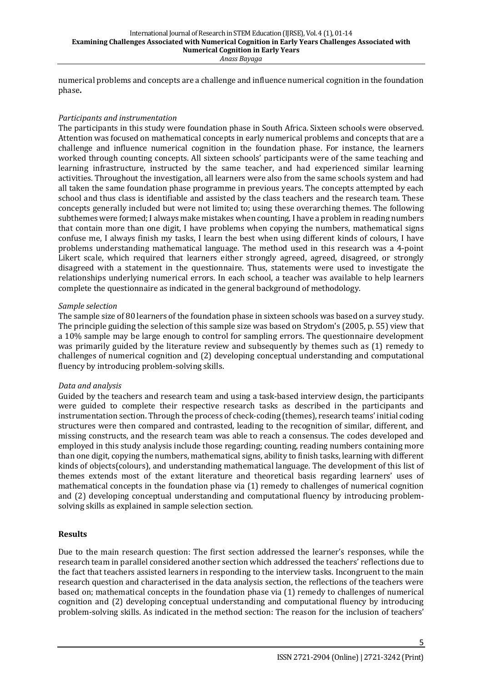numerical problems and concepts are a challenge and influence numerical cognition in the foundation phase**.**

#### *Participants and instrumentation*

The participants in this study were foundation phase in South Africa. Sixteen schools were observed. Attention was focused on mathematical concepts in early numerical problems and concepts that are a challenge and influence numerical cognition in the foundation phase. For instance, the learners worked through counting concepts. All sixteen schools' participants were of the same teaching and learning infrastructure, instructed by the same teacher, and had experienced similar learning activities. Throughout the investigation, all learners were also from the same schools system and had all taken the same foundation phase programme in previous years. The concepts attempted by each school and thus class is identifiable and assisted by the class teachers and the research team. These concepts generally included but were not limited to; using these overarching themes. The following subthemes were formed; I always make mistakes when counting. I have a problem in reading numbers that contain more than one digit, I have problems when copying the numbers, mathematical signs confuse me, I always finish my tasks, I learn the best when using different kinds of colours. I have problems understanding mathematical language. The method used in this research was a 4-point Likert scale, which required that learners either strongly agreed, agreed, disagreed, or strongly disagreed with a statement in the questionnaire. Thus, statements were used to investigate the relationships underlying numerical errors. In each school, a teacher was available to help learners complete the questionnaire as indicated in the general background of methodology.

#### *Sample selection*

The sample size of 80 learners of the foundation phase in sixteen schools was based on a survey study. The principle guiding the selection of this sample size was based on Strydom's (2005, p. 55) view that a 10% sample may be large enough to control for sampling errors. The questionnaire development was primarily guided by the literature review and subsequently by themes such as (1) remedy to challenges of numerical cognition and (2) developing conceptual understanding and computational fluency by introducing problem-solving skills.

# *Data and analysis*

Guided by the teachers and research team and using a task-based interview design, the participants were guided to complete their respective research tasks as described in the participants and instrumentation section. Through the process of check-coding (themes), research teams' initial coding structures were then compared and contrasted, leading to the recognition of similar, different, and missing constructs, and the research team was able to reach a consensus. The codes developed and employed in this study analysis include those regarding; counting, reading numbers containing more than one digit, copying the numbers, mathematical signs, ability to finish tasks, learning with different kinds of objects(colours), and understanding mathematical language. The development of this list of themes extends most of the extant literature and theoretical basis regarding learners' uses of mathematical concepts in the foundation phase via  $(1)$  remedy to challenges of numerical cognition and (2) developing conceptual understanding and computational fluency by introducing problemsolving skills as explained in sample selection section.

# **Results**

Due to the main research question: The first section addressed the learner's responses, while the research team in parallel considered another section which addressed the teachers' reflections due to the fact that teachers assisted learners in responding to the interview tasks. Incongruent to the main research question and characterised in the data analysis section, the reflections of the teachers were based on; mathematical concepts in the foundation phase via  $(1)$  remedy to challenges of numerical cognition and (2) developing conceptual understanding and computational fluency by introducing problem-solving skills. As indicated in the method section: The reason for the inclusion of teachers'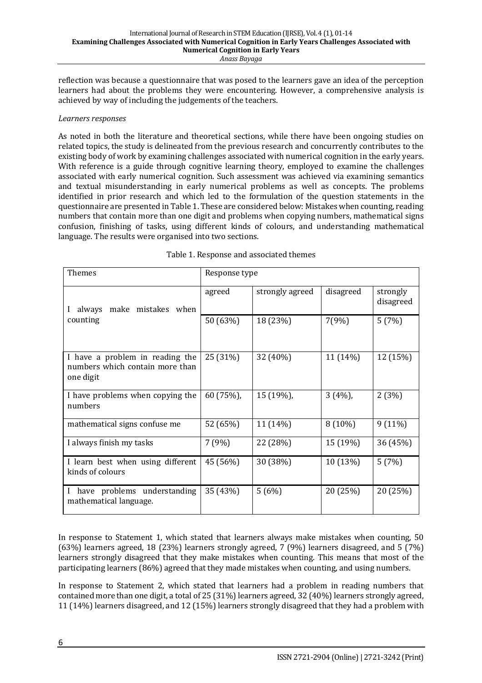reflection was because a questionnaire that was posed to the learners gave an idea of the perception learners had about the problems they were encountering. However, a comprehensive analysis is achieved by way of including the judgements of the teachers.

#### *Learners responses*

As noted in both the literature and theoretical sections, while there have been ongoing studies on related topics, the study is delineated from the previous research and concurrently contributes to the existing body of work by examining challenges associated with numerical cognition in the early years. With reference is a guide through cognitive learning theory, employed to examine the challenges associated with early numerical cognition. Such assessment was achieved via examining semantics and textual misunderstanding in early numerical problems as well as concepts. The problems identified in prior research and which led to the formulation of the question statements in the questionnaire are presented in Table 1. These are considered below: Mistakes when counting, reading numbers that contain more than one digit and problems when copying numbers, mathematical signs confusion, finishing of tasks, using different kinds of colours, and understanding mathematical language. The results were organised into two sections.

| <b>Themes</b>                                                                   | Response type |                 |           |                       |
|---------------------------------------------------------------------------------|---------------|-----------------|-----------|-----------------------|
| always make mistakes when                                                       | agreed        | strongly agreed | disagreed | strongly<br>disagreed |
| counting                                                                        | 50 (63%)      | 18 (23%)        | 7(9%)     | 5(7%)                 |
| I have a problem in reading the<br>numbers which contain more than<br>one digit | 25 (31%)      | 32 (40%)        | 11 (14%)  | 12 (15%)              |
| I have problems when copying the<br>numbers                                     | 60 (75%),     | 15 (19%),       | 3(4%)     | 2(3%)                 |
| mathematical signs confuse me                                                   | 52 (65%)      | 11 (14%)        | 8 (10%)   | $9(11\%)$             |
| I always finish my tasks                                                        | 7(9%)         | 22 (28%)        | 15 (19%)  | 36 (45%)              |
| I learn best when using different<br>kinds of colours                           | 45 (56%)      | 30 (38%)        | 10 (13%)  | 5(7%)                 |
| have problems understanding<br>mathematical language.                           | 35 (43%)      | 5(6%)           | 20 (25%)  | 20 (25%)              |

Table 1. Response and associated themes

In response to Statement 1, which stated that learners always make mistakes when counting, 50  $(63%)$  learners agreed, 18 (23%) learners strongly agreed, 7 (9%) learners disagreed, and 5 (7%) learners strongly disagreed that they make mistakes when counting. This means that most of the participating learners (86%) agreed that they made mistakes when counting, and using numbers.

In response to Statement 2, which stated that learners had a problem in reading numbers that contained more than one digit, a total of 25 (31%) learners agreed, 32 (40%) learners strongly agreed, 11 (14%) learners disagreed, and 12 (15%) learners strongly disagreed that they had a problem with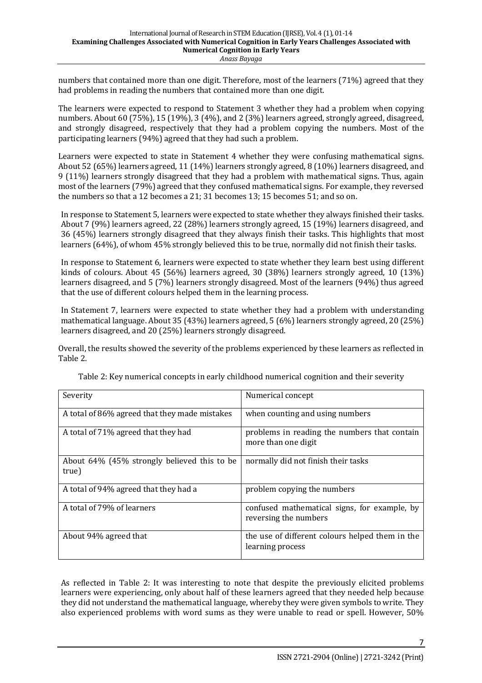numbers that contained more than one digit. Therefore, most of the learners (71%) agreed that they had problems in reading the numbers that contained more than one digit.

The learners were expected to respond to Statement 3 whether they had a problem when copying numbers. About 60 (75%), 15 (19%), 3 (4%), and 2 (3%) learners agreed, strongly agreed, disagreed, and strongly disagreed, respectively that they had a problem copying the numbers. Most of the participating learners (94%) agreed that they had such a problem.

Learners were expected to state in Statement 4 whether they were confusing mathematical signs. About 52 (65%) learners agreed, 11 (14%) learners strongly agreed, 8 (10%) learners disagreed, and 9 (11%) learners strongly disagreed that they had a problem with mathematical signs. Thus, again most of the learners (79%) agreed that they confused mathematical signs. For example, they reversed the numbers so that a 12 becomes a 21; 31 becomes 13; 15 becomes 51; and so on.

In response to Statement 5, learners were expected to state whether they always finished their tasks. About 7 (9%) learners agreed, 22 (28%) learners strongly agreed, 15 (19%) learners disagreed, and 36 (45%) learners strongly disagreed that they always finish their tasks. This highlights that most learners (64%), of whom 45% strongly believed this to be true, normally did not finish their tasks.

In response to Statement 6, learners were expected to state whether they learn best using different kinds of colours. About 45 (56%) learners agreed, 30 (38%) learners strongly agreed, 10 (13%) learners disagreed, and 5 (7%) learners strongly disagreed. Most of the learners (94%) thus agreed that the use of different colours helped them in the learning process.

In Statement 7, learners were expected to state whether they had a problem with understanding mathematical language. About 35 (43%) learners agreed, 5 (6%) learners strongly agreed, 20 (25%) learners disagreed, and 20 (25%) learners strongly disagreed.

Overall, the results showed the severity of the problems experienced by these learners as reflected in Table 2.

| Severity                                             | Numerical concept                                                     |  |  |
|------------------------------------------------------|-----------------------------------------------------------------------|--|--|
| A total of 86% agreed that they made mistakes        | when counting and using numbers                                       |  |  |
| A total of 71% agreed that they had                  | problems in reading the numbers that contain<br>more than one digit   |  |  |
| About 64% (45% strongly believed this to be<br>true) | normally did not finish their tasks                                   |  |  |
| A total of 94% agreed that they had a                | problem copying the numbers                                           |  |  |
| A total of 79% of learners                           | confused mathematical signs, for example, by<br>reversing the numbers |  |  |
| About 94% agreed that                                | the use of different colours helped them in the<br>learning process   |  |  |

Table 2: Key numerical concepts in early childhood numerical cognition and their severity

As reflected in Table 2: It was interesting to note that despite the previously elicited problems learners were experiencing, only about half of these learners agreed that they needed help because they did not understand the mathematical language, whereby they were given symbols to write. They also experienced problems with word sums as they were unable to read or spell. However,  $50\%$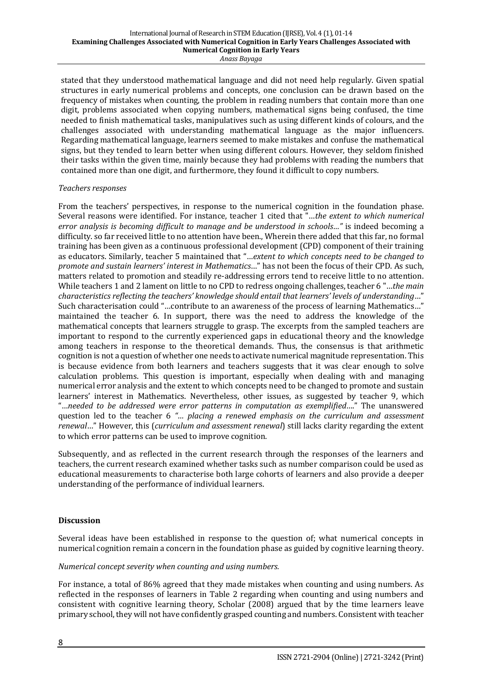stated that they understood mathematical language and did not need help regularly. Given spatial structures in early numerical problems and concepts, one conclusion can be drawn based on the frequency of mistakes when counting, the problem in reading numbers that contain more than one digit, problems associated when copying numbers, mathematical signs being confused, the time needed to finish mathematical tasks, manipulatives such as using different kinds of colours, and the challenges associated with understanding mathematical language as the major influencers. Regarding mathematical language, learners seemed to make mistakes and confuse the mathematical signs, but they tended to learn better when using different colours. However, they seldom finished their tasks within the given time, mainly because they had problems with reading the numbers that contained more than one digit, and furthermore, they found it difficult to copy numbers.

### *Teachers responses*

From the teachers' perspectives, in response to the numerical cognition in the foundation phase. Several reasons were identified. For instance, teacher 1 cited that "...the extent to which numerical *error analysis is becoming difficult to manage and be understood in schools..."* is indeed becoming a difficulty, so far received little to no attention have been., Wherein there added that this far, no formal training has been given as a continuous professional development (CPD) component of their training as educators. Similarly, teacher 5 maintained that "*...extent to which concepts need to be changed to promote and sustain learners' interest in Mathematics*…" has not been the focus of their CPD. As such, matters related to promotion and steadily re-addressing errors tend to receive little to no attention. While teachers 1 and 2 lament on little to no CPD to redress ongoing challenges, teacher 6 "...the main *characteristics reflecting the teachers'* knowledge should entail that learners' levels of understanding..." Such characterisation could "...contribute to an awareness of the process of learning Mathematics..." maintained the teacher 6. In support, there was the need to address the knowledge of the mathematical concepts that learners struggle to grasp. The excerpts from the sampled teachers are important to respond to the currently experienced gaps in educational theory and the knowledge among teachers in response to the theoretical demands. Thus, the consensus is that arithmetic cognition is not a question of whether one needs to activate numerical magnitude representation. This is because evidence from both learners and teachers suggests that it was clear enough to solve calculation problems. This question is important, especially when dealing with and managing numerical error analysis and the extent to which concepts need to be changed to promote and sustain learners' interest in Mathematics. Nevertheless, other issues, as suggested by teacher 9, which "...needed to be addressed were error patterns in computation as exemplified...." The unanswered question led to the teacher 6 "... placing a renewed emphasis on the curriculum and assessment *renewal*…" However, this (*curriculum and assessment renewal*) still lacks clarity regarding the extent to which error patterns can be used to improve cognition.

Subsequently, and as reflected in the current research through the responses of the learners and teachers, the current research examined whether tasks such as number comparison could be used as educational measurements to characterise both large cohorts of learners and also provide a deeper understanding of the performance of individual learners.

# **Discussion**

Several ideas have been established in response to the question of; what numerical concepts in numerical cognition remain a concern in the foundation phase as guided by cognitive learning theory.

# *Numerical concept severity when counting and using numbers.*

For instance, a total of 86% agreed that they made mistakes when counting and using numbers. As reflected in the responses of learners in Table 2 regarding when counting and using numbers and consistent with cognitive learning theory, Scholar (2008) argued that by the time learners leave primary school, they will not have confidently grasped counting and numbers. Consistent with teacher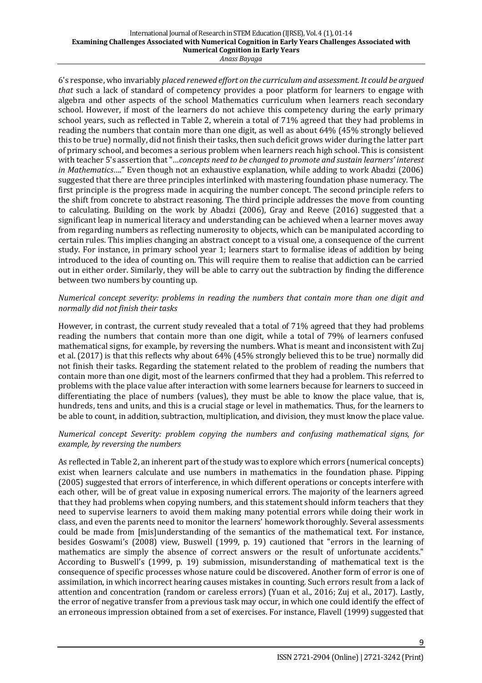6's response, who invariably placed renewed effort on the curriculum and assessment. It could be argued *that* such a lack of standard of competency provides a poor platform for learners to engage with algebra and other aspects of the school Mathematics curriculum when learners reach secondary school. However, if most of the learners do not achieve this competency during the early primary school years, such as reflected in Table 2, wherein a total of 71% agreed that they had problems in reading the numbers that contain more than one digit, as well as about 64% (45% strongly believed this to be true) normally, did not finish their tasks, then such deficit grows wider during the latter part of primary school, and becomes a serious problem when learners reach high school. This is consistent with teacher 5's assertion that "...concepts need to be changed to promote and sustain learners' interest *in Mathematics*…." Even though not an exhaustive explanation, while adding to work Abadzi (2006) suggested that there are three principles interlinked with mastering foundation phase numeracy. The first principle is the progress made in acquiring the number concept. The second principle refers to the shift from concrete to abstract reasoning. The third principle addresses the move from counting to calculating. Building on the work by Abadzi (2006), Gray and Reeve (2016) suggested that a significant leap in numerical literacy and understanding can be achieved when a learner moves away from regarding numbers as reflecting numerosity to objects, which can be manipulated according to certain rules. This implies changing an abstract concept to a visual one, a consequence of the current study. For instance, in primary school year 1; learners start to formalise ideas of addition by being introduced to the idea of counting on. This will require them to realise that addiction can be carried out in either order. Similarly, they will be able to carry out the subtraction by finding the difference between two numbers by counting up.

### *Numerical concept severity: problems in reading the numbers that contain more than one digit and normally did not finish their tasks*

However, in contrast, the current study revealed that a total of 71% agreed that they had problems reading the numbers that contain more than one digit, while a total of 79% of learners confused mathematical signs, for example, by reversing the numbers. What is meant and inconsistent with Zuj et al. (2017) is that this reflects why about 64% (45% strongly believed this to be true) normally did not finish their tasks. Regarding the statement related to the problem of reading the numbers that contain more than one digit, most of the learners confirmed that they had a problem. This referred to problems with the place value after interaction with some learners because for learners to succeed in differentiating the place of numbers (values), they must be able to know the place value, that is, hundreds, tens and units, and this is a crucial stage or level in mathematics. Thus, for the learners to be able to count, in addition, subtraction, multiplication, and division, they must know the place value.

### *Numerical concept Severity: problem copying the numbers and confusing mathematical signs, for example, by reversing the numbers*

As reflected in Table 2, an inherent part of the study was to explore which errors (numerical concepts) exist when learners calculate and use numbers in mathematics in the foundation phase. Pipping (2005) suggested that errors of interference, in which different operations or concepts interfere with each other, will be of great value in exposing numerical errors. The majority of the learners agreed that they had problems when copying numbers, and this statement should inform teachers that they need to supervise learners to avoid them making many potential errors while doing their work in class, and even the parents need to monitor the learners' homework thoroughly. Several assessments could be made from [mis]understanding of the semantics of the mathematical text. For instance, besides Goswami's (2008) view, Buswell (1999, p. 19) cautioned that "errors in the learning of mathematics are simply the absence of correct answers or the result of unfortunate accidents." According to Buswell's (1999, p. 19) submission, misunderstanding of mathematical text is the consequence of specific processes whose nature could be discovered. Another form of error is one of assimilation, in which incorrect hearing causes mistakes in counting. Such errors result from a lack of attention and concentration (random or careless errors) (Yuan et al., 2016; Zuj et al., 2017). Lastly, the error of negative transfer from a previous task may occur, in which one could identify the effect of an erroneous impression obtained from a set of exercises. For instance, Flavell (1999) suggested that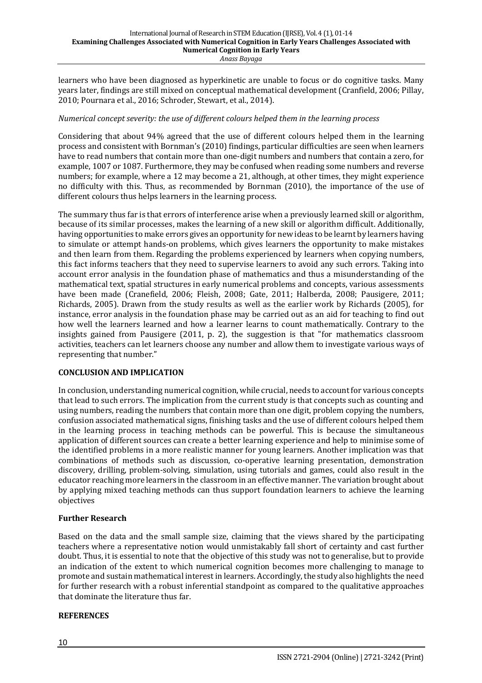learners who have been diagnosed as hyperkinetic are unable to focus or do cognitive tasks. Many years later, findings are still mixed on conceptual mathematical development (Cranfield, 2006; Pillay, 2010; Pournara et al., 2016; Schroder, Stewart, et al., 2014).

#### *Numerical concept severity: the use of different colours helped them in the learning process*

Considering that about 94% agreed that the use of different colours helped them in the learning process and consistent with Bornman's (2010) findings, particular difficulties are seen when learners have to read numbers that contain more than one-digit numbers and numbers that contain a zero, for example, 1007 or 1087. Furthermore, they may be confused when reading some numbers and reverse numbers; for example, where a 12 may become a 21, although, at other times, they might experience no difficulty with this. Thus, as recommended by Bornman (2010), the importance of the use of different colours thus helps learners in the learning process.

The summary thus far is that errors of interference arise when a previously learned skill or algorithm, because of its similar processes, makes the learning of a new skill or algorithm difficult. Additionally, having opportunities to make errors gives an opportunity for new ideas to be learnt by learners having to simulate or attempt hands-on problems, which gives learners the opportunity to make mistakes and then learn from them. Regarding the problems experienced by learners when copying numbers, this fact informs teachers that they need to supervise learners to avoid any such errors. Taking into account error analysis in the foundation phase of mathematics and thus a misunderstanding of the mathematical text, spatial structures in early numerical problems and concepts, various assessments have been made (Cranefield, 2006; Fleish, 2008; Gate, 2011; Halberda, 2008; Pausigere, 2011; Richards, 2005). Drawn from the study results as well as the earlier work by Richards (2005), for instance, error analysis in the foundation phase may be carried out as an aid for teaching to find out how well the learners learned and how a learner learns to count mathematically. Contrary to the insights gained from Pausigere  $(2011, p. 2)$ , the suggestion is that "for mathematics classroom activities, teachers can let learners choose any number and allow them to investigate various ways of representing that number."

#### **CONCLUSION AND IMPLICATION**

In conclusion, understanding numerical cognition, while crucial, needs to account for various concepts that lead to such errors. The implication from the current study is that concepts such as counting and using numbers, reading the numbers that contain more than one digit, problem copying the numbers, confusion associated mathematical signs, finishing tasks and the use of different colours helped them in the learning process in teaching methods can be powerful. This is because the simultaneous application of different sources can create a better learning experience and help to minimise some of the identified problems in a more realistic manner for young learners. Another implication was that combinations of methods such as discussion, co-operative learning presentation, demonstration discovery, drilling, problem-solving, simulation, using tutorials and games, could also result in the educator reaching more learners in the classroom in an effective manner. The variation brought about by applying mixed teaching methods can thus support foundation learners to achieve the learning objectives

#### **Further Research**

Based on the data and the small sample size, claiming that the views shared by the participating teachers where a representative notion would unmistakably fall short of certainty and cast further doubt. Thus, it is essential to note that the objective of this study was not to generalise, but to provide an indication of the extent to which numerical cognition becomes more challenging to manage to promote and sustain mathematical interest in learners. Accordingly, the study also highlights the need for further research with a robust inferential standpoint as compared to the qualitative approaches that dominate the literature thus far.

#### **REFERENCES**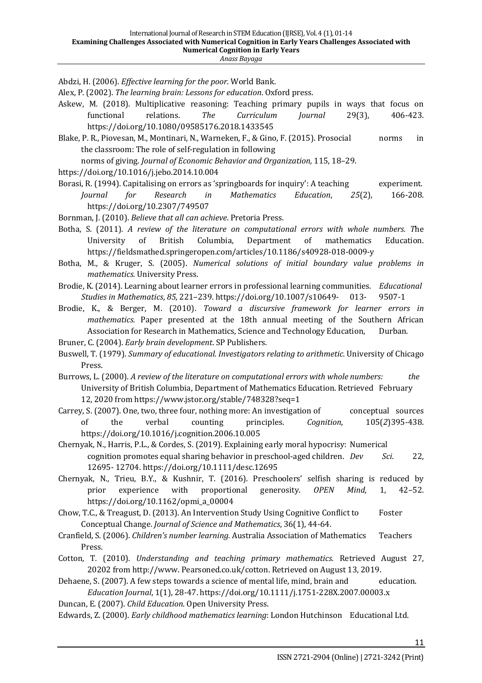Abdzi, H. (2006). *Effective learning for the poor*. World Bank.

Alex, P. (2002). *The learning brain: Lessons for education*. Oxford press.

- Askew, M. (2018). Multiplicative reasoning: Teaching primary pupils in ways that focus on functional relations. *The Curriculum Journal* 29(3), 406-423. https://doi.org/10.1080/09585176.2018.1433545
- Blake, P. R., Piovesan, M., Montinari, N., Warneken, F., & Gino, F. (2015). Prosocial norms in the classroom: The role of self-regulation in following

norms of giving. *Journal of Economic Behavior and Organization*, 115, 18-29.

https://doi.org/10.1016/j.jebo.2014.10.004

Borasi, R. (1994). Capitalising on errors as 'springboards for inquiry': A teaching experiment. *Journal for Research in Mathematics Education*, *25*(2), 166-208. https://doi.org/10.2307/749507

- Bornman, J. (2010). *Believe that all can achieve*. Pretoria Press.
- Botha, S. (2011). A review of the literature on computational errors with whole numbers. The University of British Columbia, Department of mathematics Education. https://fieldsmathed.springeropen.com/articles/10.1186/s40928-018-0009-y
- Botha, M., & Kruger, S. (2005). *Numerical solutions of initial boundary value problems in mathematics.* University Press.
- Brodie, K. (2014). Learning about learner errors in professional learning communities. *Educational Studies in Mathematics, 85, 221-239. https://doi.org/10.1007/s10649-* 013- 9507-1
- Brodie, K., & Berger, M. (2010). *Toward a discursive framework for learner errors in mathematics.* Paper presented at the 18th annual meeting of the Southern African Association for Research in Mathematics, Science and Technology Education, Durban.
- Bruner, C. (2004). *Early brain development*. SP Publishers.
- Buswell, T. (1979). Summary of educational. Investigators relating to arithmetic. University of Chicago Press.
- Burrows, L. (2000). A review of the literature on computational errors with whole numbers: the University of British Columbia, Department of Mathematics Education. Retrieved February 12, 2020 from https://www.jstor.org/stable/748328?seq=1
- Carrey, S. (2007). One, two, three four, nothing more: An investigation of conceptual sources of the verbal counting principles. *Cognition*, 105(*2*)395-438. https://doi.org/10.1016/j.cognition.2006.10.005
- Chernyak, N., Harris, P.L., & Cordes, S. (2019). Explaining early moral hypocrisy: Numerical cognition promotes equal sharing behavior in preschool-aged children. *Dev Sci.* 22, 12695- 12704. https://doi.org/10.1111/desc.12695
- Chernyak, N., Trieu, B.Y., & Kushnir, T. (2016). Preschoolers' selfish sharing is reduced by prior experience with proportional generosity. OPEN Mind, 1, 42-52. https://doi.org/10.1162/opmi\_a\_00004
- Chow, T.C., & Treagust, D. (2013). An Intervention Study Using Cognitive Conflict to Foster Conceptual Change. *Journal of Science and Mathematics*, 36(1), 44-64.
- Cranfield, S. (2006). *Children's number learning*. Australia Association of Mathematics Teachers Press.
- Cotton, T. (2010). *Understanding and teaching primary mathematics*. Retrieved August 27, 20202 from http://www. Pearsoned.co.uk/cotton. Retrieved on August 13, 2019.
- Dehaene, S. (2007). A few steps towards a science of mental life, mind, brain and education. *Education Journal*, 1(1), 28-47. https://doi.org/10.1111/j.1751-228X.2007.00003.x
- Duncan, E. (2007). *Child Education*. Open University Press.
- Edwards, Z. (2000). *Early childhood mathematics learning*: London Hutchinson Educational Ltd.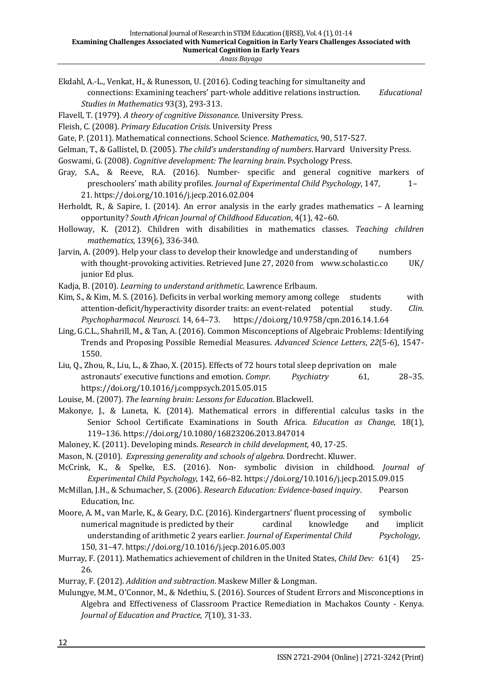- Ekdahl, A.-L., Venkat, H., & Runesson, U. (2016). Coding teaching for simultaneity and connections: Examining teachers' part-whole additive relations instruction. *Educational Studies in Mathematics* 93(3), 293-313.
- Flavell, T. (1979). A theory of cognitive Dissonance. University Press.
- Fleish, C. (2008). *Primary Education Crisis*. University Press
- Gate, P. (2011). Mathematical connections. School Science. *Mathematics*, 90, 517-527.
- Gelman, T., & Gallistel, D. (2005). *The child's understanding of numbers*. Harvard University Press.
- Goswami, G. (2008). *Cognitive development: The learning brain*. Psychology Press.
- Gray, S.A., & Reeve, R.A. (2016). Number- specific and general cognitive markers of preschoolers' math ability profiles. *Journal of Experimental Child Psychology*, 147,  $1-$ 21. https://doi.org/10.1016/j.jecp.2016.02.004
- Herholdt, R., & Sapire, I. (2014). An error analysis in the early grades mathematics  $-$  A learning opportunity? *South African Journal of Childhood Education*, 4(1), 42–60.
- Holloway, K. (2012). Children with disabilities in mathematics classes. *Teaching children mathematics*, 139(6), 336-340.
- Jarvin, A. (2009). Help your class to develop their knowledge and understanding of numbers with thought-provoking activities. Retrieved June 27, 2020 from www.scholastic.co UK/ junior Ed plus.
- Kadja, B. (2010). *Learning to understand arithmetic*. Lawrence Erlbaum.
- Kim, S., & Kim, M. S. (2016). Deficits in verbal working memory among college students with attention-deficit/hyperactivity disorder traits: an event-related potential study. *Clin. Psychopharmacol. Neurosci.* 14, 64–73. https://doi.org/10.9758/cpn.2016.14.1.64
- Ling, G.C.L., Shahrill, M., & Tan, A. (2016). Common Misconceptions of Algebraic Problems: Identifying Trends and Proposing Possible Remedial Measures. *Advanced Science Letters*, 22(5-6), 1547-1550.
- Liu, Q., Zhou, R., Liu, L., & Zhao, X. (2015). Effects of 72 hours total sleep deprivation on male astronauts' executive functions and emotion. *Compr. Psychiatry* 61, 28-35. https://doi.org/10.1016/j.comppsych.2015.05.015
- Louise, M. (2007). *The learning brain: Lessons for Education*. Blackwell.
- Makonye, J., & Luneta, K. (2014). Mathematical errors in differential calculus tasks in the Senior School Certificate Examinations in South Africa. *Education as Change*, 18(1), 119–136. https://doi.org/10.1080/16823206.2013.847014
- Maloney, K. (2011). Developing minds. *Research in child development*, 40, 17-25.
- Mason, N. (2010). *Expressing generality and schools of algebra*. Dordrecht. Kluwer.
- McCrink, K., & Spelke, E.S. (2016). Non- symbolic division in childhood. *Journal of Experimental Child Psychology*, 142, 66–82. https://doi.org/10.1016/j.jecp.2015.09.015
- McMillan, J.H., & Schumacher, S. (2006). *Research Education: Evidence-based inquiry*. Pearson Education, Inc.
- Moore, A. M., van Marle, K., & Geary, D.C. (2016). Kindergartners' fluent processing of symbolic numerical magnitude is predicted by their cardinal knowledge and implicit understanding of arithmetic 2 years earlier. *Journal of Experimental Child Psychology*, 150, 31–47. https://doi.org/10.1016/j.jecp.2016.05.003
- Murray, F. (2011). Mathematics achievement of children in the United States, *Child Dev:* 61(4) 25-26.
- Murray, F. (2012). *Addition and subtraction*. Maskew Miller & Longman.
- Mulungye, M.M., O'Connor, M., & Ndethiu, S. (2016). Sources of Student Errors and Misconceptions in Algebra and Effectiveness of Classroom Practice Remediation in Machakos County - Kenya. *Journal of Education and Practice,* 7(10), 31-33.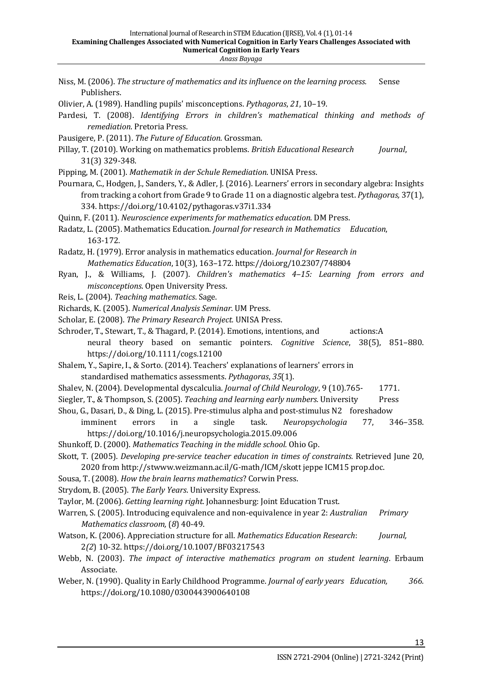- Niss, M. (2006). *The structure of mathematics and its influence on the learning process.* Sense Publishers. Olivier, A. (1989). Handling pupils' misconceptions. *Pythagoras*, 21, 10–19. Pardesi, T. (2008). *Identifying Errors in children's mathematical thinking and methods of remediation*. Pretoria Press. Pausigere, P. (2011). *The Future of Education*. Grossman. Pillay, T. (2010). Working on mathematics problems. *British Educational Research <i>Journal*, 31(3) 329-348. Pipping, M. (2001). *Mathematik in der Schule Remediation*. UNISA Press. Pournara, C., Hodgen, J., Sanders, Y., & Adler, J. (2016). Learners' errors in secondary algebra: Insights from tracking a cohort from Grade 9 to Grade 11 on a diagnostic algebra test. *Pythagoras*, 37(1), 334. https://doi.org/10.4102/pythagoras.v37i1.334 Quinn, F. (2011). *Neuroscience experiments for mathematics education*. DM Press. Radatz, L. (2005). Mathematics Education. *Journal for research in Mathematics Education*, 163-172. Radatz, H. (1979). Error analysis in mathematics education. *Journal for Research in Mathematics Education,* 10(3), 163-172. https://doi.org/10.2307/748804 Ryan, J., & Williams, J. (2007). *Children's mathematics* 4-15: Learning from errors and *misconceptions*. Open University Press. Reis, L. (2004). *Teaching mathematics*. Sage. Richards, K. (2005). *Numerical Analysis Seminar.* UM Press. Scholar, E. (2008). *The Primary Research Project.* UNISA Press. Schroder, T., Stewart, T., & Thagard, P. (2014). Emotions, intentions, and actions:A neural theory based on semantic pointers. *Cognitive Science*, 38(5), 851-880. https://doi.org/10.1111/cogs.12100 Shalem, Y., Sapire, I., & Sorto. (2014). Teachers' explanations of learners' errors in standardised mathematics assessments. *Pythagoras*, 35(1). Shalev, N. (2004). Developmental dyscalculia. *Journal of Child Neurology*, 9 (10).765- 1771. Siegler, T., & Thompson, S. (2005). *Teaching and learning early numbers*. University Press Shou, G., Dasari, D., & Ding, L. (2015). Pre-stimulus alpha and post-stimulus N2 foreshadow imminent errors in a single task. *Neuropsychologia* 77, 346–358. https://doi.org/10.1016/j.neuropsychologia.2015.09.006 Shunkoff, D. (2000). *Mathematics Teaching in the middle school.* Ohio Gp. Skott, T. (2005). *Developing pre-service teacher education in times of constraints.* Retrieved June 20, 2020 from http://stwww.weizmann.ac.il/G-math/ICM/skott jeppe ICM15 prop.doc. Sousa, T. (2008). *How the brain learns mathematics*? Corwin Press. Strydom, B. (2005). The Early Years. University Express.
- Taylor, M. (2006). *Getting learning right*. Johannesburg: Joint Education Trust.
- Warren, S. (2005). Introducing equivalence and non-equivalence in year 2: *Australian Primary Mathematics classroom,* (8) 40-49.
- Watson, K. (2006). Appreciation structure for all. *Mathematics Education Research: Journal,* 2*(2*) 10-32. https://doi.org/10.1007/BF03217543
- Webb, N. (2003). *The impact of interactive mathematics program on student learning*. Erbaum Associate.
- Weber, N. (1990). Quality in Early Childhood Programme. *Journal of early years Education,* 366. https://doi.org/10.1080/0300443900640108